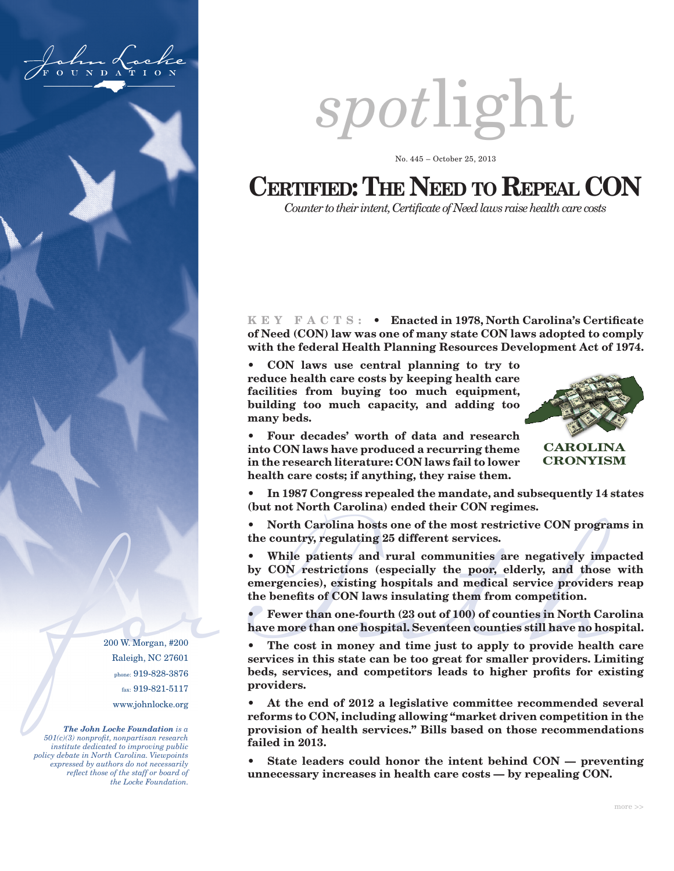

200 W. Morgan, #200 Raleigh, NC 27601 phone: 919-828-3876 fax: 919-821-5117 www.johnlocke.org

*The John Locke Foundation is a 501(c)(3) nonprofit, nonpartisan research institute dedicated to improving public policy debate in North Carolina. Viewpoints expressed by authors do not necessarily reflect those of the staff or board of the Locke Foundation.*



No. 445 – October 25, 2013

# **Certified: The Need to Repeal CON**

*Counter to their intent, Certificate of Need laws raise health care costs*

**K E Y F A C T S : • Enacted in 1978, North Carolina's Certificate of Need (CON) law was one of many state CON laws adopted to comply with the federal Health Planning Resources Development Act of 1974.** 

**• CON laws use central planning to try to reduce health care costs by keeping health care facilities from buying too much equipment, building too much capacity, and adding too many beds.**



**CAROLINA CRONYISM**

**• Four decades' worth of data and research into CON laws have produced a recurring theme in the research literature: CON laws fail to lower health care costs; if anything, they raise them.** 

**• In 1987 Congress repealed the mandate, and subsequently 14 states (but not North Carolina) ended their CON regimes.**

**• North Carolina hosts one of the most restrictive CON programs in the country, regulating 25 different services.** 

• While patients and rural communities are negatively imply CON restrictions (especially the poor, elderly, and those emergencies), existing hospitals and medical service provider the benefits of CON laws insulating them **• While patients and rural communities are negatively impacted by CON restrictions (especially the poor, elderly, and those with emergencies), existing hospitals and medical service providers reap the benefits of CON laws insulating them from competition.** 

**• Fewer than one-fourth (23 out of 100) of counties in North Carolina have more than one hospital. Seventeen counties still have no hospital.**

**• The cost in money and time just to apply to provide health care services in this state can be too great for smaller providers. Limiting beds, services, and competitors leads to higher profits for existing providers.**

**• At the end of 2012 a legislative committee recommended several reforms to CON, including allowing "market driven competition in the provision of health services." Bills based on those recommendations failed in 2013.**

**• State leaders could honor the intent behind CON — preventing unnecessary increases in health care costs — by repealing CON.**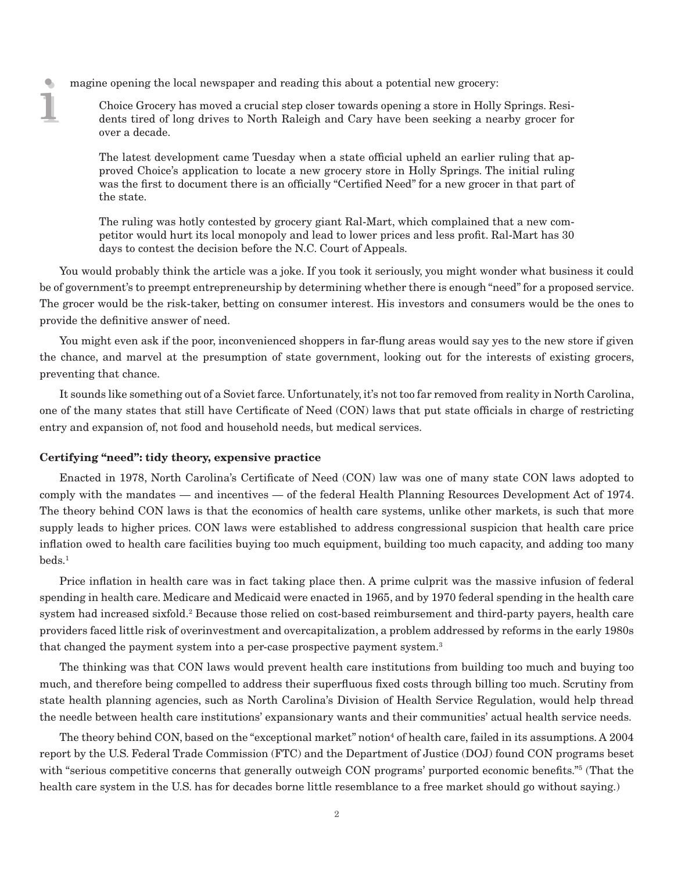i i magine opening the local newspaper and reading this about a potential new grocery:

Choice Grocery has moved a crucial step closer towards opening a store in Holly Springs. Residents tired of long drives to North Raleigh and Cary have been seeking a nearby grocer for over a decade.

The latest development came Tuesday when a state official upheld an earlier ruling that approved Choice's application to locate a new grocery store in Holly Springs. The initial ruling was the first to document there is an officially "Certified Need" for a new grocer in that part of the state.

The ruling was hotly contested by grocery giant Ral-Mart, which complained that a new competitor would hurt its local monopoly and lead to lower prices and less profit. Ral-Mart has 30 days to contest the decision before the N.C. Court of Appeals.

You would probably think the article was a joke. If you took it seriously, you might wonder what business it could be of government's to preempt entrepreneurship by determining whether there is enough "need" for a proposed service. The grocer would be the risk-taker, betting on consumer interest. His investors and consumers would be the ones to provide the definitive answer of need.

You might even ask if the poor, inconvenienced shoppers in far-flung areas would say yes to the new store if given the chance, and marvel at the presumption of state government, looking out for the interests of existing grocers, preventing that chance.

It sounds like something out of a Soviet farce. Unfortunately, it's not too far removed from reality in North Carolina, one of the many states that still have Certificate of Need (CON) laws that put state officials in charge of restricting entry and expansion of, not food and household needs, but medical services.

#### **Certifying "need": tidy theory, expensive practice**

Enacted in 1978, North Carolina's Certificate of Need (CON) law was one of many state CON laws adopted to comply with the mandates — and incentives — of the federal Health Planning Resources Development Act of 1974. The theory behind CON laws is that the economics of health care systems, unlike other markets, is such that more supply leads to higher prices. CON laws were established to address congressional suspicion that health care price inflation owed to health care facilities buying too much equipment, building too much capacity, and adding too many beds.1

Price inflation in health care was in fact taking place then. A prime culprit was the massive infusion of federal spending in health care. Medicare and Medicaid were enacted in 1965, and by 1970 federal spending in the health care system had increased sixfold.<sup>2</sup> Because those relied on cost-based reimbursement and third-party payers, health care providers faced little risk of overinvestment and overcapitalization, a problem addressed by reforms in the early 1980s that changed the payment system into a per-case prospective payment system.<sup>3</sup>

The thinking was that CON laws would prevent health care institutions from building too much and buying too much, and therefore being compelled to address their superfluous fixed costs through billing too much. Scrutiny from state health planning agencies, such as North Carolina's Division of Health Service Regulation, would help thread the needle between health care institutions' expansionary wants and their communities' actual health service needs.

The theory behind CON, based on the "exceptional market" notion<sup>4</sup> of health care, failed in its assumptions. A  $2004\,$ report by the U.S. Federal Trade Commission (FTC) and the Department of Justice (DOJ) found CON programs beset with "serious competitive concerns that generally outweigh CON programs' purported economic benefits."5 (That the health care system in the U.S. has for decades borne little resemblance to a free market should go without saying.)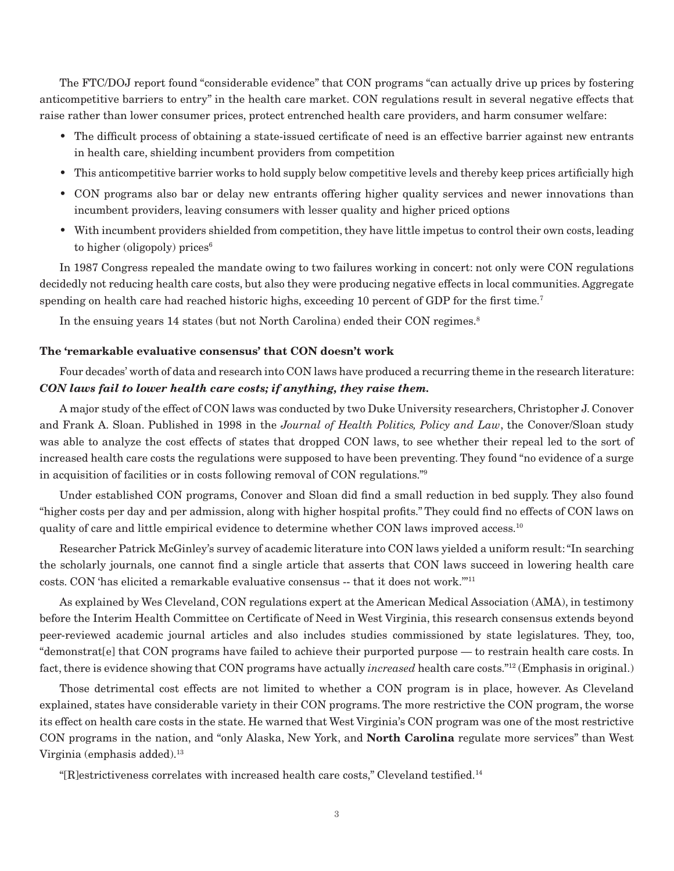The FTC/DOJ report found "considerable evidence" that CON programs "can actually drive up prices by fostering anticompetitive barriers to entry" in the health care market. CON regulations result in several negative effects that raise rather than lower consumer prices, protect entrenched health care providers, and harm consumer welfare:

- The difficult process of obtaining a state-issued certificate of need is an effective barrier against new entrants in health care, shielding incumbent providers from competition
- This anticompetitive barrier works to hold supply below competitive levels and thereby keep prices artificially high
- CON programs also bar or delay new entrants offering higher quality services and newer innovations than incumbent providers, leaving consumers with lesser quality and higher priced options
- With incumbent providers shielded from competition, they have little impetus to control their own costs, leading to higher (oligopoly) prices<sup>6</sup>

In 1987 Congress repealed the mandate owing to two failures working in concert: not only were CON regulations decidedly not reducing health care costs, but also they were producing negative effects in local communities. Aggregate spending on health care had reached historic highs, exceeding 10 percent of GDP for the first time. $^7$ 

In the ensuing years 14 states (but not North Carolina) ended their CON regimes.<sup>8</sup>

# **The 'remarkable evaluative consensus' that CON doesn't work**

Four decades' worth of data and research into CON laws have produced a recurring theme in the research literature: *CON laws fail to lower health care costs; if anything, they raise them.*

A major study of the effect of CON laws was conducted by two Duke University researchers, Christopher J. Conover and Frank A. Sloan. Published in 1998 in the *Journal of Health Politics, Policy and Law*, the Conover/Sloan study was able to analyze the cost effects of states that dropped CON laws, to see whether their repeal led to the sort of increased health care costs the regulations were supposed to have been preventing. They found "no evidence of a surge in acquisition of facilities or in costs following removal of CON regulations."9

Under established CON programs, Conover and Sloan did find a small reduction in bed supply. They also found "higher costs per day and per admission, along with higher hospital profits." They could find no effects of CON laws on quality of care and little empirical evidence to determine whether CON laws improved access.<sup>10</sup>

Researcher Patrick McGinley's survey of academic literature into CON laws yielded a uniform result: "In searching the scholarly journals, one cannot find a single article that asserts that CON laws succeed in lowering health care costs. CON 'has elicited a remarkable evaluative consensus -- that it does not work.'"11

As explained by Wes Cleveland, CON regulations expert at the American Medical Association (AMA), in testimony before the Interim Health Committee on Certificate of Need in West Virginia, this research consensus extends beyond peer-reviewed academic journal articles and also includes studies commissioned by state legislatures. They, too, "demonstrat[e] that CON programs have failed to achieve their purported purpose — to restrain health care costs. In fact, there is evidence showing that CON programs have actually *increased* health care costs."12 (Emphasis in original.)

Those detrimental cost effects are not limited to whether a CON program is in place, however. As Cleveland explained, states have considerable variety in their CON programs. The more restrictive the CON program, the worse its effect on health care costs in the state. He warned that West Virginia's CON program was one of the most restrictive CON programs in the nation, and "only Alaska, New York, and **North Carolina** regulate more services" than West Virginia (emphasis added).<sup>13</sup>

"[R]estrictiveness correlates with increased health care costs," Cleveland testified.14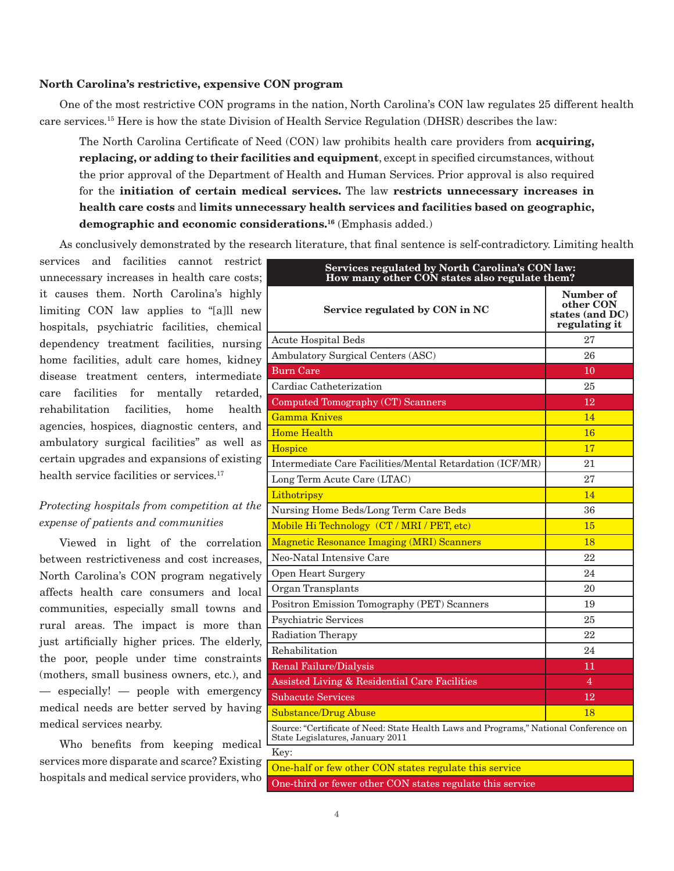# **North Carolina's restrictive, expensive CON program**

One of the most restrictive CON programs in the nation, North Carolina's CON law regulates 25 different health care services.15 Here is how the state Division of Health Service Regulation (DHSR) describes the law:

The North Carolina Certificate of Need (CON) law prohibits health care providers from **acquiring, replacing, or adding to their facilities and equipment**, except in specified circumstances, without the prior approval of the Department of Health and Human Services. Prior approval is also required for the **initiation of certain medical services.** The law **restricts unnecessary increases in health care costs** and **limits unnecessary health services and facilities based on geographic, demographic and economic considerations.16** (Emphasis added.)

As conclusively demonstrated by the research literature, that final sentence is self-contradictory. Limiting health

services and facilities cannot restrict unnecessary increases in health care costs; it causes them. North Carolina's highly limiting CON law applies to "[a]ll new hospitals, psychiatric facilities, chemical dependency treatment facilities, nursing home facilities, adult care homes, kidney disease treatment centers, intermediate care facilities for mentally retarded, rehabilitation facilities, home health agencies, hospices, diagnostic centers, and ambulatory surgical facilities" as well as certain upgrades and expansions of existing health service facilities or services.<sup>17</sup>

# *Protecting hospitals from competition at the expense of patients and communities*

Viewed in light of the correlation between restrictiveness and cost increases, North Carolina's CON program negatively affects health care consumers and local communities, especially small towns and rural areas. The impact is more than just artificially higher prices. The elderly, the poor, people under time constraints (mothers, small business owners, etc.), and — especially! — people with emergency medical needs are better served by having medical services nearby.

Who benefits from keeping medical services more disparate and scarce? Existing hospitals and medical service providers, who

| Services regulated by North Carolina's CON law:<br>How many other CON states also regulate them?                          |                                                            |  |  |  |
|---------------------------------------------------------------------------------------------------------------------------|------------------------------------------------------------|--|--|--|
| Service regulated by CON in NC                                                                                            | Number of<br>other CON<br>states (and DC)<br>regulating it |  |  |  |
| <b>Acute Hospital Beds</b>                                                                                                | 27                                                         |  |  |  |
| Ambulatory Surgical Centers (ASC)                                                                                         | 26                                                         |  |  |  |
| <b>Burn Care</b>                                                                                                          | 10                                                         |  |  |  |
| Cardiac Catheterization                                                                                                   | 25                                                         |  |  |  |
| Computed Tomography (CT) Scanners                                                                                         | 12                                                         |  |  |  |
| <b>Gamma Knives</b>                                                                                                       | 14                                                         |  |  |  |
| <b>Home Health</b>                                                                                                        | 16                                                         |  |  |  |
| Hospice                                                                                                                   | 17                                                         |  |  |  |
| Intermediate Care Facilities/Mental Retardation (ICF/MR)                                                                  | 21                                                         |  |  |  |
| Long Term Acute Care (LTAC)                                                                                               | 27                                                         |  |  |  |
| Lithotripsy                                                                                                               | 14                                                         |  |  |  |
| Nursing Home Beds/Long Term Care Beds                                                                                     | 36                                                         |  |  |  |
| Mobile Hi Technology (CT / MRI / PET, etc)                                                                                | 15                                                         |  |  |  |
| <b>Magnetic Resonance Imaging (MRI) Scanners</b>                                                                          | 18                                                         |  |  |  |
| Neo-Natal Intensive Care                                                                                                  | 22                                                         |  |  |  |
| <b>Open Heart Surgery</b>                                                                                                 | 24                                                         |  |  |  |
| Organ Transplants                                                                                                         | 20                                                         |  |  |  |
| Positron Emission Tomography (PET) Scanners                                                                               | 19                                                         |  |  |  |
| Psychiatric Services                                                                                                      | 25                                                         |  |  |  |
| <b>Radiation Therapy</b>                                                                                                  | 22                                                         |  |  |  |
| Rehabilitation                                                                                                            | 24                                                         |  |  |  |
| Renal Failure/Dialysis                                                                                                    | 11                                                         |  |  |  |
| Assisted Living & Residential Care Facilities                                                                             | 4                                                          |  |  |  |
| <b>Subacute Services</b>                                                                                                  | 12                                                         |  |  |  |
| <b>Substance/Drug Abuse</b>                                                                                               | 18                                                         |  |  |  |
| Source: "Certificate of Need: State Health Laws and Programs," National Conference on<br>State Legislatures, January 2011 |                                                            |  |  |  |
| Key:                                                                                                                      |                                                            |  |  |  |

One-half or few other CON states regulate this service One-third or fewer other CON states regulate this service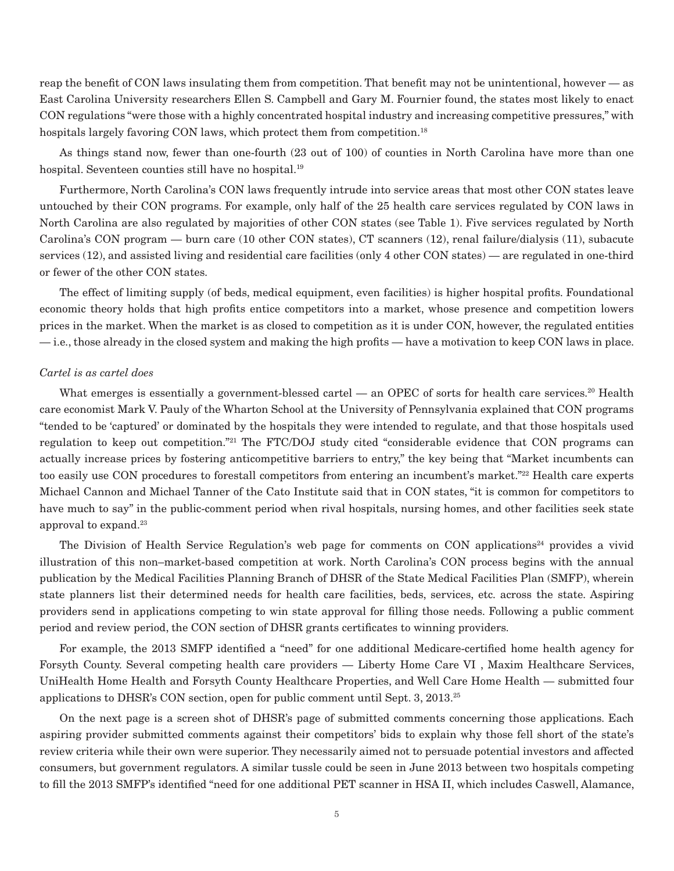reap the benefit of CON laws insulating them from competition. That benefit may not be unintentional, however — as East Carolina University researchers Ellen S. Campbell and Gary M. Fournier found, the states most likely to enact CON regulations "were those with a highly concentrated hospital industry and increasing competitive pressures," with hospitals largely favoring CON laws, which protect them from competition.<sup>18</sup>

As things stand now, fewer than one-fourth (23 out of 100) of counties in North Carolina have more than one hospital. Seventeen counties still have no hospital.<sup>19</sup>

Furthermore, North Carolina's CON laws frequently intrude into service areas that most other CON states leave untouched by their CON programs. For example, only half of the 25 health care services regulated by CON laws in North Carolina are also regulated by majorities of other CON states (see Table 1). Five services regulated by North Carolina's CON program — burn care (10 other CON states), CT scanners (12), renal failure/dialysis (11), subacute services (12), and assisted living and residential care facilities (only 4 other CON states) — are regulated in one-third or fewer of the other CON states.

The effect of limiting supply (of beds, medical equipment, even facilities) is higher hospital profits. Foundational economic theory holds that high profits entice competitors into a market, whose presence and competition lowers prices in the market. When the market is as closed to competition as it is under CON, however, the regulated entities — i.e., those already in the closed system and making the high profits — have a motivation to keep CON laws in place.

#### *Cartel is as cartel does*

What emerges is essentially a government-blessed cartel — an OPEC of sorts for health care services.<sup>20</sup> Health care economist Mark V. Pauly of the Wharton School at the University of Pennsylvania explained that CON programs "tended to be 'captured' or dominated by the hospitals they were intended to regulate, and that those hospitals used regulation to keep out competition."21 The FTC/DOJ study cited "considerable evidence that CON programs can actually increase prices by fostering anticompetitive barriers to entry," the key being that "Market incumbents can too easily use CON procedures to forestall competitors from entering an incumbent's market."22 Health care experts Michael Cannon and Michael Tanner of the Cato Institute said that in CON states, "it is common for competitors to have much to say" in the public-comment period when rival hospitals, nursing homes, and other facilities seek state approval to expand.23

The Division of Health Service Regulation's web page for comments on CON applications<sup>24</sup> provides a vivid illustration of this non–market-based competition at work. North Carolina's CON process begins with the annual publication by the Medical Facilities Planning Branch of DHSR of the State Medical Facilities Plan (SMFP), wherein state planners list their determined needs for health care facilities, beds, services, etc. across the state. Aspiring providers send in applications competing to win state approval for filling those needs. Following a public comment period and review period, the CON section of DHSR grants certificates to winning providers.

For example, the 2013 SMFP identified a "need" for one additional Medicare-certified home health agency for Forsyth County. Several competing health care providers — Liberty Home Care VI , Maxim Healthcare Services, UniHealth Home Health and Forsyth County Healthcare Properties, and Well Care Home Health — submitted four applications to DHSR's CON section, open for public comment until Sept. 3, 2013.25

On the next page is a screen shot of DHSR's page of submitted comments concerning those applications. Each aspiring provider submitted comments against their competitors' bids to explain why those fell short of the state's review criteria while their own were superior. They necessarily aimed not to persuade potential investors and affected consumers, but government regulators. A similar tussle could be seen in June 2013 between two hospitals competing to fill the 2013 SMFP's identified "need for one additional PET scanner in HSA II, which includes Caswell, Alamance,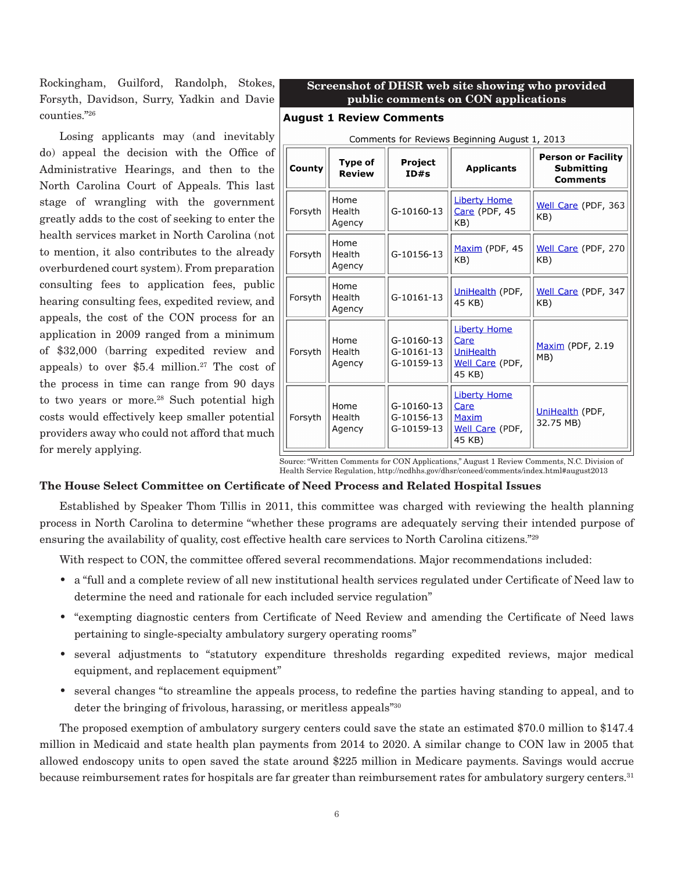Rockingham, Guilford, Randolph, Stokes, Forsyth, Davidson, Surry, Yadkin and Davie counties."26

Losing applicants may (and inevitably do) appeal the decision with the Office of Administrative Hearings, and then to the North Carolina Court of Appeals. This last stage of wrangling with the government greatly adds to the cost of seeking to enter the health services market in North Carolina (not to mention, it also contributes to the already overburdened court system). From preparation consulting fees to application fees, public hearing consulting fees, expedited review, and appeals, the cost of the CON process for an application in 2009 ranged from a minimum of \$32,000 (barring expedited review and appeals) to over  $$5.4$  million.<sup>27</sup> The cost of the process in time can range from 90 days to two years or more. $28$  Such potential high costs would effectively keep smaller potential providers away who could not afford that much for merely applying.

### **Screenshot of DHSR web site showing who provided public comments on CON applications**

#### **August 1 Review Comments**

| Comments for Reviews Beginning August 1, 2013 |                          |                                        |                                                                              |                                                            |  |
|-----------------------------------------------|--------------------------|----------------------------------------|------------------------------------------------------------------------------|------------------------------------------------------------|--|
| County                                        | Type of<br><b>Review</b> | Project<br>ID#s                        | <b>Applicants</b>                                                            | <b>Person or Facility</b><br>Submitting<br><b>Comments</b> |  |
| Forsyth                                       | Home<br>Health<br>Agency | G-10160-13                             | <b>Liberty Home</b><br>Care (PDF, 45<br>KB)                                  | Well Care (PDF, 363<br>KB)                                 |  |
| Forsyth                                       | Home<br>Health<br>Agency | G-10156-13                             | Maxim (PDF, 45<br>KB)                                                        | Well Care (PDF, 270<br>KB)                                 |  |
| Forsyth                                       | Home<br>Health<br>Agency | G-10161-13                             | UniHealth (PDF,<br>45 KB)                                                    | Well Care (PDF, 347<br>KB)                                 |  |
| Forsyth                                       | Home<br>Health<br>Agency | G-10160-13<br>G-10161-13<br>G-10159-13 | <b>Liberty Home</b><br>Care<br><b>UniHealth</b><br>Well Care (PDF,<br>45 KB) | Maxim (PDF, 2.19<br>MB)                                    |  |
| Forsyth                                       | Home<br>Health<br>Agency | G-10160-13<br>G-10156-13<br>G-10159-13 | <b>Liberty Home</b><br>Care<br><b>Maxim</b><br>Well Care (PDF,<br>45 KB)     | UniHealth (PDF,<br>32.75 MB)                               |  |

Source: "Written Comments for CON Applications," August 1 Review Comments, N.C. Division of Health Service Regulation, http://ncdhhs.gov/dhsr/coneed/comments/index.html#august2013

#### **The House Select Committee on Certificate of Need Process and Related Hospital Issues**

Established by Speaker Thom Tillis in 2011, this committee was charged with reviewing the health planning process in North Carolina to determine "whether these programs are adequately serving their intended purpose of ensuring the availability of quality, cost effective health care services to North Carolina citizens."<sup>29</sup>

With respect to CON, the committee offered several recommendations. Major recommendations included:

- a "full and a complete review of all new institutional health services regulated under Certificate of Need law to determine the need and rationale for each included service regulation"
- "exempting diagnostic centers from Certificate of Need Review and amending the Certificate of Need laws pertaining to single-specialty ambulatory surgery operating rooms"
- several adjustments to "statutory expenditure thresholds regarding expedited reviews, major medical equipment, and replacement equipment"
- several changes "to streamline the appeals process, to redefine the parties having standing to appeal, and to deter the bringing of frivolous, harassing, or meritless appeals"<sup>30</sup>

The proposed exemption of ambulatory surgery centers could save the state an estimated \$70.0 million to \$147.4 million in Medicaid and state health plan payments from 2014 to 2020. A similar change to CON law in 2005 that allowed endoscopy units to open saved the state around \$225 million in Medicare payments. Savings would accrue because reimbursement rates for hospitals are far greater than reimbursement rates for ambulatory surgery centers.<sup>31</sup>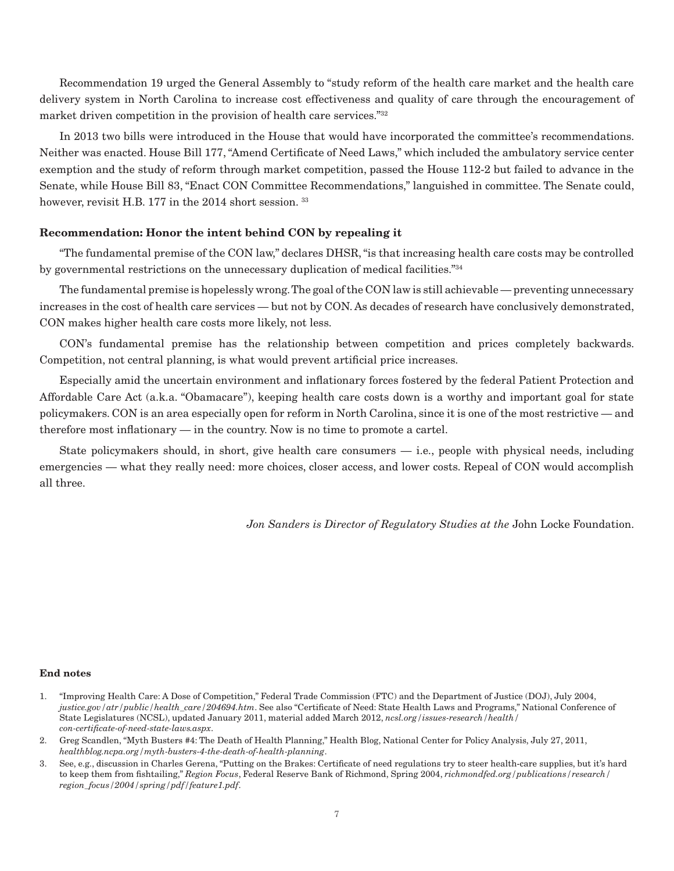Recommendation 19 urged the General Assembly to "study reform of the health care market and the health care delivery system in North Carolina to increase cost effectiveness and quality of care through the encouragement of market driven competition in the provision of health care services."<sup>32</sup>

In 2013 two bills were introduced in the House that would have incorporated the committee's recommendations. Neither was enacted. House Bill 177, "Amend Certificate of Need Laws," which included the ambulatory service center exemption and the study of reform through market competition, passed the House 112-2 but failed to advance in the Senate, while House Bill 83, "Enact CON Committee Recommendations," languished in committee. The Senate could, however, revisit H.B. 177 in the 2014 short session.<sup>33</sup>

# **Recommendation: Honor the intent behind CON by repealing it**

"The fundamental premise of the CON law," declares DHSR, "is that increasing health care costs may be controlled by governmental restrictions on the unnecessary duplication of medical facilities."34

The fundamental premise is hopelessly wrong. The goal of the CON law is still achievable — preventing unnecessary increases in the cost of health care services — but not by CON. As decades of research have conclusively demonstrated, CON makes higher health care costs more likely, not less.

CON's fundamental premise has the relationship between competition and prices completely backwards. Competition, not central planning, is what would prevent artificial price increases.

Especially amid the uncertain environment and inflationary forces fostered by the federal Patient Protection and Affordable Care Act (a.k.a. "Obamacare"), keeping health care costs down is a worthy and important goal for state policymakers. CON is an area especially open for reform in North Carolina, since it is one of the most restrictive — and therefore most inflationary — in the country. Now is no time to promote a cartel.

State policymakers should, in short, give health care consumers — i.e., people with physical needs, including emergencies — what they really need: more choices, closer access, and lower costs. Repeal of CON would accomplish all three.

*Jon Sanders is Director of Regulatory Studies at the* John Locke Foundation.

#### **End notes**

- 1. "Improving Health Care: A Dose of Competition," Federal Trade Commission (FTC) and the Department of Justice (DOJ), July 2004, *justice.gov/atr/public/health\_care/204694.htm*. See also "Certificate of Need: State Health Laws and Programs," National Conference of State Legislatures (NCSL), updated January 2011, material added March 2012, *ncsl.org/issues-research/health/ con-certificate-of-need-state-laws.aspx*.
- 2. Greg Scandlen, "Myth Busters #4: The Death of Health Planning," Health Blog, National Center for Policy Analysis, July 27, 2011, *healthblog.ncpa.org/myth-busters-4-the-death-of-health-planning*.
- 3. See, e.g., discussion in Charles Gerena, "Putting on the Brakes: Certificate of need regulations try to steer health-care supplies, but it's hard to keep them from fishtailing," *Region Focus*, Federal Reserve Bank of Richmond, Spring 2004, *richmondfed.org/publications/research/ region\_focus/2004/spring/pdf/feature1.pdf*.